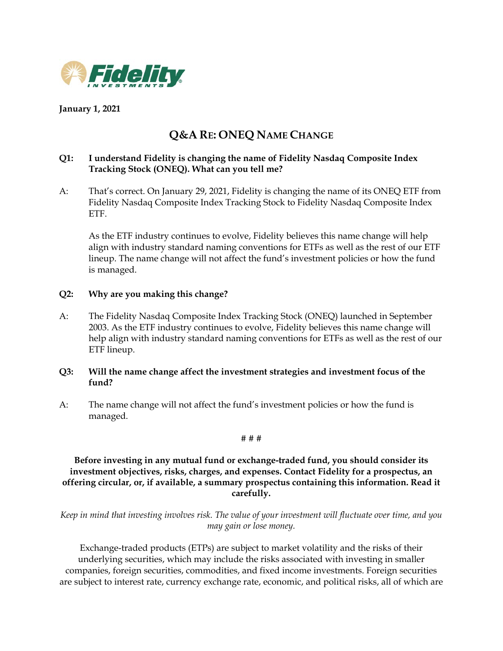

# **January 1, 2021**

# **Q&A RE: ONEQ NAME CHANGE**

# **Q1: I understand Fidelity is changing the name of Fidelity Nasdaq Composite Index Tracking Stock (ONEQ). What can you tell me?**

A: That's correct. On January 29, 2021, Fidelity is changing the name of its ONEQ ETF from Fidelity Nasdaq Composite Index Tracking Stock to Fidelity Nasdaq Composite Index ETF.

As the ETF industry continues to evolve, Fidelity believes this name change will help align with industry standard naming conventions for ETFs as well as the rest of our ETF lineup. The name change will not affect the fund's investment policies or how the fund is managed.

### **Q2: Why are you making this change?**

A: The Fidelity Nasdaq Composite Index Tracking Stock (ONEQ) launched in September 2003. As the ETF industry continues to evolve, Fidelity believes this name change will help align with industry standard naming conventions for ETFs as well as the rest of our ETF lineup.

### **Q3: Will the name change affect the investment strategies and investment focus of the fund?**

A: The name change will not affect the fund's investment policies or how the fund is managed.

#### # # #

**Before investing in any mutual fund or exchange-traded fund, you should consider its investment objectives, risks, charges, and expenses. Contact Fidelity for a prospectus, an offering circular, or, if available, a summary prospectus containing this information. Read it carefully.**

*Keep in mind that investing involves risk. The value of your investment will fluctuate over time, and you may gain or lose money.*

Exchange-traded products (ETPs) are subject to market volatility and the risks of their underlying securities, which may include the risks associated with investing in smaller companies, foreign securities, commodities, and fixed income investments. Foreign securities are subject to interest rate, currency exchange rate, economic, and political risks, all of which are